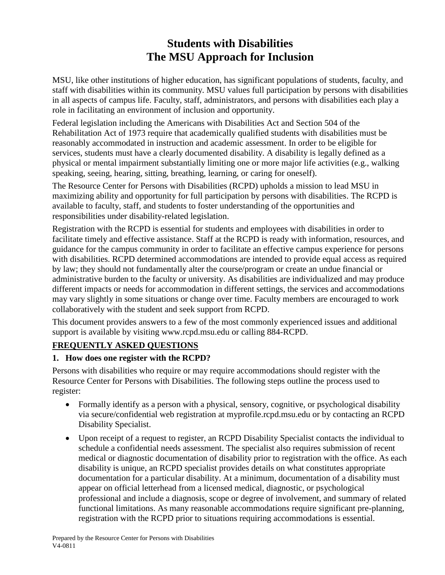# **Students with Disabilities The MSU Approach for Inclusion**

MSU, like other institutions of higher education, has significant populations of students, faculty, and staff with disabilities within its community. MSU values full participation by persons with disabilities in all aspects of campus life. Faculty, staff, administrators, and persons with disabilities each play a role in facilitating an environment of inclusion and opportunity.

Federal legislation including the Americans with Disabilities Act and Section 504 of the Rehabilitation Act of 1973 require that academically qualified students with disabilities must be reasonably accommodated in instruction and academic assessment. In order to be eligible for services, students must have a clearly documented disability. A disability is legally defined as a physical or mental impairment substantially limiting one or more major life activities (e.g., walking speaking, seeing, hearing, sitting, breathing, learning, or caring for oneself).

The Resource Center for Persons with Disabilities (RCPD) upholds a mission to lead MSU in maximizing ability and opportunity for full participation by persons with disabilities. The RCPD is available to faculty, staff, and students to foster understanding of the opportunities and responsibilities under disability-related legislation.

Registration with the RCPD is essential for students and employees with disabilities in order to facilitate timely and effective assistance. Staff at the RCPD is ready with information, resources, and guidance for the campus community in order to facilitate an effective campus experience for persons with disabilities. RCPD determined accommodations are intended to provide equal access as required by law; they should not fundamentally alter the course/program or create an undue financial or administrative burden to the faculty or university. As disabilities are individualized and may produce different impacts or needs for accommodation in different settings, the services and accommodations may vary slightly in some situations or change over time. Faculty members are encouraged to work collaboratively with the student and seek support from RCPD.

This document provides answers to a few of the most commonly experienced issues and additional support is available by visiting [www.rcpd.msu.edu](http://www.rcpd.msu.edu/) or calling 884-RCPD.

# **FREQUENTLY ASKED QUESTIONS**

#### **1. How does one register with the RCPD?**

Persons with disabilities who require or may require accommodations should register with the Resource Center for Persons with Disabilities. The following steps outline the process used to register:

- Formally identify as a person with a physical, sensory, cognitive, or psychological disability via secure/confidential web registration at myprofile.rcpd.msu.edu or by contacting an RCPD Disability Specialist.
- Upon receipt of a request to register, an RCPD Disability Specialist contacts the individual to schedule a confidential needs assessment. The specialist also requires submission of recent medical or diagnostic documentation of disability prior to registration with the office. As each disability is unique, an RCPD specialist provides details on what constitutes appropriate documentation for a particular disability. At a minimum, documentation of a disability must appear on official letterhead from a licensed medical, diagnostic, or psychological professional and include a diagnosis, scope or degree of involvement, and summary of related functional limitations. As many reasonable accommodations require significant pre-planning, registration with the RCPD prior to situations requiring accommodations is essential.